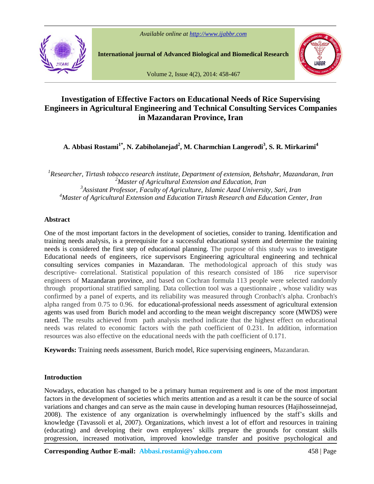

**International journal of Advanced Biological and Biomedical Research**



Volume 2, Issue 4(2), 2014: 458-467

# **Investigation of Effective Factors on Educational Needs of Rice Supervising Engineers in Agricultural Engineering and Technical Consulting Services Companies in Mazandaran Province, Iran**

**A. Abbasi Rostami1\* , N. Zabiholanejad 2 , M. Charmchian Langerodi<sup>3</sup> , S. R. Mirkarimi<sup>4</sup>**

*Researcher, Tirtash tobacco research institute, Department of extension, Behshahr, Mazandaran, Iran Master of Agricultural Extension and Education, Iran Assistant Professor, Faculty of Agriculture, Islamic Azad University, Sari, Iran Master of Agricultural Extension and Education Tirtash Research and Education Center, Iran*

# **Abstract**

One of the most important factors in the development of societies, consider to traning. Identification and training needs analysis, is a prerequisite for a successful educational system and determine the training needs is considered the first step of educational planning. The purpose of this study was to investigate Educational needs of engineers, rice supervisors Engineering agricultural engineering and technical consulting services companies in Mazandaran. The methodological approach of this study was descriptive- correlational. Statistical population of this research consisted of 186 rice supervisor engineers of Mazandaran province, and based on Cochran formula 113 people were selected randomly through proportional stratified sampling. Data collection tool was a questionnaire , whose validity was confirmed by a panel of experts, and its reliability was measured through Cronbach's alpha. Cronbach's alpha ranged from 0.75 to 0.96. for educational-professional needs assessment of agricultural extension agents was used from Burich model and according to the mean weight discrepancy score (MWDS) were rated. The results achieved from path analysis method indicate that the highest effect on educational needs was related to economic factors with the path coefficient of 0.231. In addition, information resources was also effective on the educational needs with the path coefficient of 0.171.

**Keywords:** Training needs assessment, Burich model, Rice supervising engineers, Mazandaran.

## **Introduction**

Nowadays, education has changed to be a primary human requirement and is one of the most important factors in the development of societies which merits attention and as a result it can be the source of social variations and changes and can serve as the main cause in developing human resources (Hajihosseinnejad, 2008). T variations and changes and can serve as the main cause in developing human resources (Hajihosseinnejad, knowledge (Tavassoli et al, 2007). Organizations, which invest a lot of effort and resources in training 2008). The existence of any organization is overwhelmingly influenced by the staff's skills and knowledge (Tavassoli et al, 2007). Organizations, which invest a lot of effort and resources in training (educating) and devel progression, increased motivation, improved knowledge transfer and positive psychological and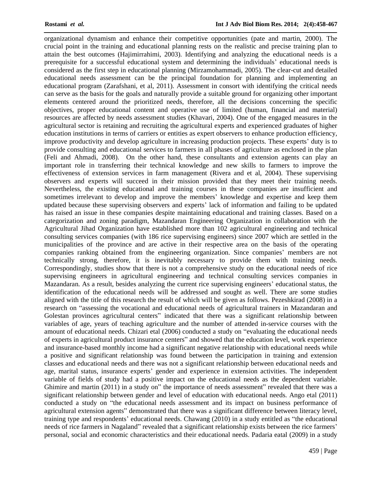organizational dynamism and enhance their competitive opportunities (pate and martin, 2000). The crucial point in the training and educational planning rests on the realistic and precise training plan to attain the best outcomes (Hajimirrahimi, 2003). Identifying and analyzing the educational needs is a prerequisite f attain the best outcomes (Hajimirrahimi, 2003). Identifying and analyzing the educational needs is a considered as the first step in educational planning (Mirzamohammadi, 2005). The clear-cut and detailed educational needs assessment can be the principal foundation for planning and implementing an educational program (Zarafshani, et al, 2011). Assessment in consort with identifying the critical needs can serve as the basis for the goals and naturally provide a suitable ground for organizing other important elements centered around the prioritized needs, therefore, all the decisions concerning the specific objectives, proper educational content and operative use of limited (human, financial and material) resources are affected by needs assessment studies (Khavari, 2004). One of the engaged measures in the agricultural sector is retaining and recruiting the agricultural experts and experienced graduates of higher education institutions in terms of carriers or entities as expert observers to enhance production efficiency, improve productivity and develop agriculture in increasing production projects. These experts' duty is to provide consulting and educational services to farmers in all phases of agriculture as enclosed in the plan (Feli and Ahmadi, 2008). On the other hand, these consultants and extension agents can play an important role in transferring their technical knowledge and new skills to farmers to improve the effectiveness of extension services in farm management (Rivera and et al, 2004). These supervising observers and experts will succeed in their mission provided that they meet their training needs.<br>Nevertheless, the existing educational and training courses in these companies are insufficient and<br>sometimes irrelevant to Nevertheless, the existing educational and training courses in these companies are insufficient and sometimes irrelevant to develop and improve the members' knowledge and expertise and keep them updated because these super has raised an issue in these companies despite maintaining educational and training classes. Based on a categorization and zoning paradigm, Mazandaran Engineering Organization in collaboration with the Agricultural Jihad Organization have established more than 102 agricultural engineering and technical consulting services companies (with 186 rice supervising engineers) since 2007 which are settled in the municipalities of the province and are active in their respective area on the basis of the operating companies ranking obtained from the engineering organization. Since companies' members are not technically strong, therefore, it is inevitably necessary to provide them with training needs. Correspondingly, studies show that there is not a comprehensive study on the educational needs of rice supervising engineers in agricultural engineering and technical consulting services companies in Mazandaran. As a resul supervising engineers in agricultural engineering and technical consulting services companies in identification of the educational needs will be addressed and sought as well. There are some studies aligned with the title of this research the result of which will be given as follows. Pezeshkirad (2008) in a identification of the educational needs will be addressed and sought as well. There are some studies aligned with the title of this research the result of which will be given as follows. Pezeshkirad (2008) in a research on aligned with the title of this research the result of which will be given as follows. Pezeshkirad (2008) in a<br>research on "assessing the vocational and educational needs of agricultural trainers in Mazandaran and<br>Golestan variables of age, years of teaching agriculture and the number of attended in-service courses with the Golestan provinces agricultural centers" indicated that there was a significant relationship between variables of age, years of teaching agriculture and the number of attended in-service courses with the amount of educatio of experts in agricultural product insurance centers" and showed that the education level, work experience and insurance-based monthly income had a significant negative relationship with educational needs while a positive and significant relationship was found between the participation in training and extension classes and educational needs and there was not a significant relationship between educational needs and a positive and significant relationship was found between the participation in training and extension<br>classes and educational needs and there was not a significant relationship between educational needs and<br>age, marital st variable of fields of study had a positive impact on the educational needs as the dependent variable. age, marital status, insurance experts' gender and experience in extension activities. The independent variable of fields of study had a positive impact on the educational needs as the dependent variable.<br>Ghimire and marti significant relationship between gender and level of education with educational needs. Ango etal (2011) conducted a study on "the educational needs assessment and its impact on business performance of agricultural extensio Ghimire and martin (2011) in a study on" the importance of needs assessment" revealed that there was a conducted a study on "the educational needs assessment and its impact on business performance of agricultural extension agents" demonstrated that there was a significant difference between literacy level, training type and needs of rice farmers in Nagaland" revealed that a significant relationship exists between the rice farmers' personal, social and economic characteristics and their educational needs. Padaria eatal (2009) in a study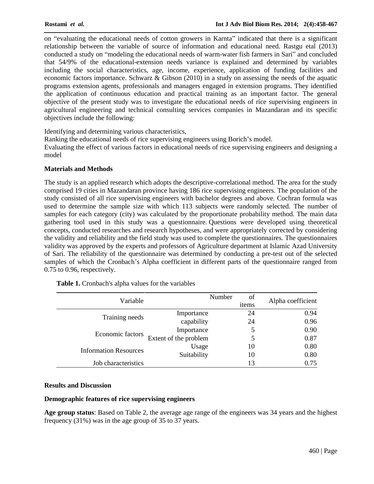on "evaluating the educational needs of cotton growers in Karnta" indicated that there is a significant relationship between the variable of source of information and educational need. Rastgu etal (2013) on "evaluating the educational needs of cotton growers in Karnta" indicated that there is a significant relationship between the variable of source of information and educational need. Rastgu etal (2013) conducted a study that 54/9% of the educational-extension needs variance is explained and determined by variables including the social characteristics, age, income, experience, application of funding facilities and economic factors importance. Schwarz & Gibson (2010) in a study on assessing the needs of the aquatic programs extension agents, professionals and managers engaged in extension programs. They identified the application of continuous education and practical training as an important factor. The general objective of the present study was to investigate the educational needs of rice supervising engineers in agricultural engineering and technical consulting services companies in Mazandaran and its specific objectives include the following:

Identifying and determining various characteristics,

Ranking the educational needs of rice supervising engineers using Borich's model. Evaluating the effect of various factors in educational needs of rice supervising engineers and designing a model

## **Materials and Methods**

The study is an applied research which adopts the descriptive-correlational method. The area for the study comprised 19 cities in Mazandaran province having 186 rice supervising engineers. The population of the study consisted of all rice supervising engineers with bachelor degrees and above. Cochran formula was used to determine the sample size with which 113 subjects were randomly selected. The number of samples for each category (city) was calculated by the proportionate probability method. The main data gathering tool used in this study was a questionnaire. Questions were developed using theoretical concepts, conducted researches and research hypotheses, and were appropriately corrected by considering the validity and reliability and the field study was used to complete the questionnaires. The questionnaires validity was approved by the experts and professors of Agriculture department at Islamic Azad University of Sari. The reliability of the questionnaire was determined by conducting a pre-test out of the selected samples of which the Cronbach's Alpha coefficient in different parts of the questionnaire ranged from 0.75 to 0.96, respectively.

| Variable                     | Number                | of    | Alpha coefficient |
|------------------------------|-----------------------|-------|-------------------|
|                              |                       | items |                   |
| Training needs               | Importance            | 24    | 0.94              |
|                              | capability            | 24    | 0.96              |
| Economic factors             | Importance            |       | 0.90              |
|                              | Extent of the problem |       | 0.87              |
| <b>Information Resources</b> | Usage                 | 10    | 0.80              |
|                              | Suitability           | 10    | 0.80              |
| Job characteristics          |                       |       | 0.75              |

**Table 1.** Cronbach's alpha values for the variables

#### **Results and Discussion**

#### **Demographic features of rice supervising engineers**

**Age group status**: Based on Table 2, the average age range of the engineers was 34 years and the highest frequency (31%) was in the age group of 35 to 37 years.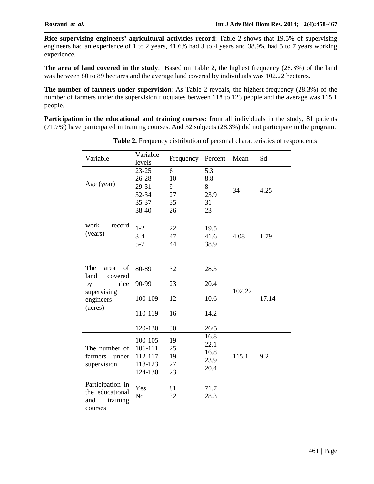**Rice supervising engineers<sup>í</sup> agricultural activities record**: Table <sup>2</sup> shows that 19.5% of supervising engineers had an experience of 1 to 2 years, 41.6% had 3 to 4 years and 38.9% had 5 to 7 years working experience.

**The area of land covered in the study**: Based on Table 2, the highest frequency (28.3%) of the land was between 80 to 89 hectares and the average land covered by individuals was 102.22 hectares.

**The number of farmers under supervision**: As Table 2 reveals, the highest frequency (28.3%) of the number of farmers under the supervision fluctuates between 118 to 123 people and the average was 115.1 people.

**Participation in the educational and training courses:** from all individuals in the study, 81 patients (71.7%) have participated in training courses. And 32 subjects (28.3%) did not participate in the program.

| Variable                                                                                  | Variable<br>levels                                             | Frequency                        | Percent                                      | Mean   | Sd    |
|-------------------------------------------------------------------------------------------|----------------------------------------------------------------|----------------------------------|----------------------------------------------|--------|-------|
| Age (year)                                                                                | $23 - 25$<br>26-28<br>29-31<br>32-34<br>35-37<br>38-40         | 6<br>10<br>9<br>27<br>35<br>26   | 5.3<br>8.8<br>8<br>23.9<br>31<br>23          | 34     | 4.25  |
| work<br>record<br>(years)                                                                 | $1 - 2$<br>$3 - 4$<br>$5 - 7$                                  | 22<br>47<br>44                   | 19.5<br>41.6<br>38.9                         | 4.08   | 1.79  |
| The<br>of<br>area<br>land<br>covered<br>by<br>rice<br>supervising<br>engineers<br>(acres) | 80-89<br>90-99<br>100-109<br>110-119                           | 32<br>23<br>12<br>16             | 28.3<br>20.4<br>10.6<br>14.2                 | 102.22 | 17.14 |
| The number of<br>farmers<br>under<br>supervision                                          | 120-130<br>100-105<br>106-111<br>112-117<br>118-123<br>124-130 | 30<br>19<br>25<br>19<br>27<br>23 | 26/5<br>16.8<br>22.1<br>16.8<br>23.9<br>20.4 | 115.1  | 9.2   |
| Participation in<br>the educational<br>and<br>training<br>courses                         | Yes<br>No                                                      | 81<br>32                         | 71.7<br>28.3                                 |        |       |

**Table 2.** Frequency distribution of personal characteristics of respondents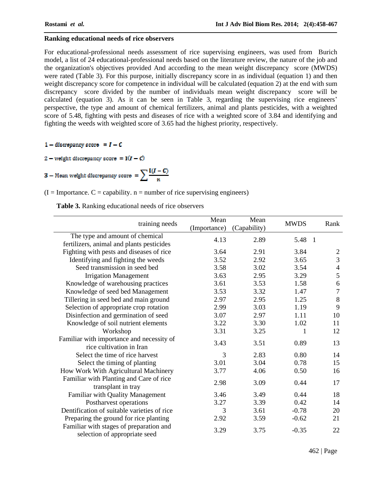## **Ranking educational needs of rice observers**

For educational-professional needs assessment of rice supervising engineers, was used from Burich model, a list of 24 educational-professional needs based on the literature review, the nature of the job and the organization's objectives provided And according to the mean weight discrepancy score (MWDS) were rated (Table 3). For this purpose, initially discrepancy score in as individual (equation 1) and then weight discrepancy score for competence in individual will be calculated (equation 2) at the end with sum discrepancy score divided by the number of individuals mean weight discrepancy score will be calculated (equation 3). As it can be seen in Table 3, regarding the supervising rice engineers' perspective, the type and amount of chemical fertilizers, animal and plants pesticides, with a weighted score of 5.48, fighting with pests and diseases of rice with a weighted score of 3.84 and identifying and fighting the weeds with weighted score of 3.65 had the highest priority, respectively.

1 – discrepancy score =  $I - C$ 

2 – weight discrepancy score = 
$$
I(I - C)
$$

3 – Mean weight discrepancy score = 
$$
\sum_{n} \frac{I(I - C)}{n}
$$

 $(I = Importance. C = capability. n = number of rice supervising engineers)$ 

**Table 3.** Ranking educational needs of rice observers

| training needs                                                           | Mean         | Mean         | <b>MWDS</b> | Rank             |
|--------------------------------------------------------------------------|--------------|--------------|-------------|------------------|
|                                                                          | (Importance) | (Capability) |             |                  |
| The type and amount of chemical                                          | 4.13         | 2.89         | 5.48        | $\overline{1}$   |
| fertilizers, animal and plants pesticides                                |              |              |             |                  |
| Fighting with pests and diseases of rice                                 | 3.64         | 2.91         | 3.84        | $\boldsymbol{2}$ |
| Identifying and fighting the weeds                                       | 3.52         | 2.92         | 3.65        | 3                |
| Seed transmission in seed bed                                            | 3.58         | 3.02         | 3.54        | 4                |
| <b>Irrigation Management</b>                                             | 3.63         | 2.95         | 3.29        | 5                |
| Knowledge of warehousing practices                                       | 3.61         | 3.53         | 1.58        | 6                |
| Knowledge of seed bed Management                                         | 3.53         | 3.32         | 1.47        | 7                |
| Tillering in seed bed and main ground                                    | 2.97         | 2.95         | 1.25        | $\,8\,$          |
| Selection of appropriate crop rotation                                   | 2.99         | 3.03         | 1.19        | 9                |
| Disinfection and germination of seed                                     | 3.07         | 2.97         | 1.11        | 10               |
| Knowledge of soil nutrient elements                                      | 3.22         | 3.30         | 1.02        | 11               |
| Workshop                                                                 | 3.31         | 3.25         | 1           | 12               |
| Familiar with importance and necessity of<br>rice cultivation in Iran    | 3.43         | 3.51         | 0.89        | 13               |
| Select the time of rice harvest                                          | 3            | 2.83         | 0.80        | 14               |
| Select the timing of planting                                            | 3.01         | 3.04         | 0.78        | 15               |
| How Work With Agricultural Machinery                                     | 3.77         | 4.06         | 0.50        | 16               |
| Familiar with Planting and Care of rice<br>transplant in tray            | 2.98         | 3.09         | 0.44        | 17               |
| Familiar with Quality Management                                         | 3.46         | 3.49         | 0.44        | 18               |
| Postharvest operations                                                   | 3.27         | 3.39         | 0.42        | 14               |
| Dentification of suitable varieties of rice                              | 3            | 3.61         | $-0.78$     | 20               |
| Preparing the ground for rice planting                                   | 2.92         | 3.59         | $-0.62$     | 21               |
| Familiar with stages of preparation and<br>selection of appropriate seed | 3.29         | 3.75         | $-0.35$     | 22               |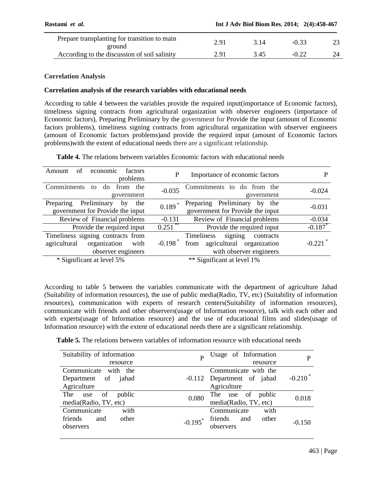| Prepare transplanting for transition to main<br>ground | ∂ י |      |  |  |
|--------------------------------------------------------|-----|------|--|--|
| According to the discussion of soil salinity           | ∂ י | . 45 |  |  |

# **Correlation Analysis**

## **Correlation analysis of the research variables with educational needs**

According to table 4 between the variables provide the required input(importance of Economic factors), timeliness signing contracts from agricultural organization with observer engineers (importance of Economic factors), Preparing Preliminary by the government for Provide the input (amount of Economic factors problems), timeliness signing contracts from agricultural organization with observer engineers (amount of Economic factors problems)and provide the required input (amount of Economic factors problems)with the extent of educational needs there are a significant relationship.

**Table 4.** The relations between variables Economic factors with educational needs

|          | Importance of economic factors                                                                  | P                     | economic<br>factors<br>Amount<br>οf<br>problems                                                 |
|----------|-------------------------------------------------------------------------------------------------|-----------------------|-------------------------------------------------------------------------------------------------|
| $-0.024$ | Commitments to do from the<br>government                                                        | $-0.035$              | Commitments<br>from<br>the<br>to<br>do.<br>government                                           |
| $-0.031$ | Preparing Preliminary by<br>the<br>government for Provide the input                             | 0.189                 | Preliminary<br>Preparing<br>the<br>by<br>government for Provide the input                       |
| $-0.034$ | Review of Financial problems                                                                    | $-0.131$              | Review of Financial problems                                                                    |
| $-0.187$ | Provide the required input                                                                      | $0.251$ **            | Provide the required input                                                                      |
| $-0.221$ | signing<br>Timeliness<br>contracts<br>from agricultural organization<br>with observer engineers | $-0.198$ <sup>*</sup> | Timeliness signing contracts from<br>organization<br>agricultural<br>with<br>observer engineers |
|          | ** Significant at level 1%                                                                      |                       | * Significant at level 5%                                                                       |

According to table 5 between the variables communicate with the department of agriculture Jahad (Suitability of information resources), the use of public media(Radio, TV, etc) (Suitability of information resources), communication with experts of research centers(Suitability of information resources), communicate with friends and other observers(usage of Information resource), talk with each other and with experts(usage of Information resource) and the use of educational films and slides(usage of Information resource) with the extent of educational needs there are a significant relationship.

**Table 5.** The relations between variables of information resource with educational needs

| Suitability of information | Usage of Information<br>P<br>Þ                    |
|----------------------------|---------------------------------------------------|
| resource                   | resource                                          |
| Communicate<br>with the    | Communicate with the                              |
| Department of<br>jahad     | $-0.210*$<br>-0.112 Department of jahad           |
| Agriculture                | Agriculture                                       |
| The<br>public<br>of<br>use | The use of<br>public<br>0.080<br>0.018            |
| media(Radio, TV, etc)      | media(Radio, TV, etc)                             |
| Communicate<br>with        | Communicate<br>with                               |
| friends<br>other<br>and    | friends<br>other<br>and<br>$-0.195$ *<br>$-0.150$ |
| observers                  | observers                                         |
|                            |                                                   |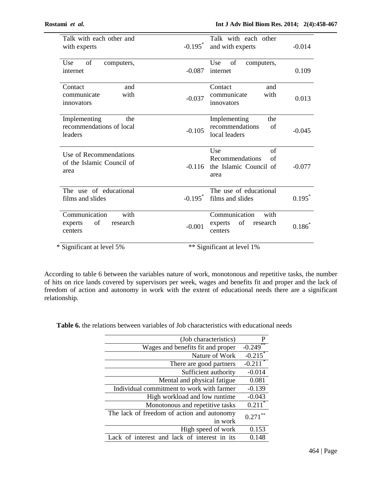| Talk with each other and<br>with experts                      | Talk with each other<br>$-0.195$ *<br>and with experts<br>$-0.014$                           |  |
|---------------------------------------------------------------|----------------------------------------------------------------------------------------------|--|
| of<br>Use<br>computers,<br>internet                           | Use<br>of<br>computers,<br>0.109<br>$-0.087$<br>internet                                     |  |
| Contact<br>and<br>with<br>communicate<br>innovators           | Contact<br>and<br>with<br>communicate<br>$-0.037$<br>0.013<br>innovators                     |  |
| Implementing<br>the<br>recommendations of local<br>leaders    | Implementing<br>the<br>recommendations<br>of<br>$-0.105$<br>$-0.045$<br>local leaders        |  |
| Use of Recommendations<br>of the Islamic Council of<br>area   | Use<br>of<br>Recommendations<br>of<br>the Islamic Council of<br>$-0.116$<br>$-0.077$<br>area |  |
| The use of educational<br>films and slides                    | The use of educational<br>$-0.195$ <sup>*</sup><br>$0.195^*$<br>films and slides             |  |
| Communication<br>with<br>of<br>research<br>experts<br>centers | Communication<br>with<br>of<br>experts<br>research<br>$0.186*$<br>$-0.001$<br>centers        |  |
| * Significant at level 5%                                     | ** Significant at level 1%                                                                   |  |

According to table 6 between the variables nature of work, monotonous and repetitive tasks, the number of hits on rice lands covered by supervisors per week, wages and benefits fit and proper and the lack of freedom of action and autonomy in work with the extent of educational needs there are a significant relationship.

**Table 6.** the relations between variables of Job characteristics with educational needs

| P                     | (Job characteristics)                        |
|-----------------------|----------------------------------------------|
| $-0.249$              | Wages and benefits fit and proper            |
| $-0.215$              | Nature of Work                               |
| $-0.211$ <sup>*</sup> | There are good partners                      |
| $-0.014$              | Sufficient authority                         |
| 0.081                 | Mental and physical fatigue                  |
| $-0.139$              | Individual commitment to work with farmer    |
| $-0.043$              | High workload and low runtime                |
| $0.211^*$             | Monotonous and repetitive tasks              |
| $0.271$ **            | The lack of freedom of action and autonomy   |
|                       | in work                                      |
| 0.153                 | High speed of work                           |
| 0.148                 | Lack of interest and lack of interest in its |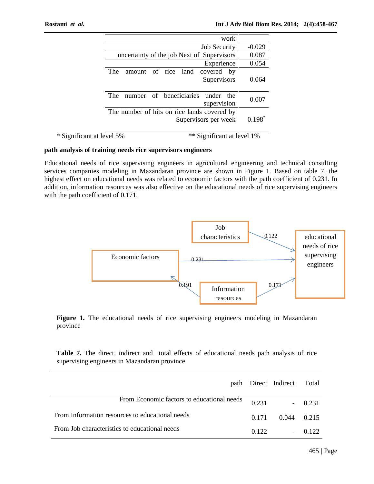|                                             | work                        |           |
|---------------------------------------------|-----------------------------|-----------|
|                                             | <b>Job Security</b>         | $-0.029$  |
| uncertainty of the job Next of Supervisors  |                             | 0.087     |
|                                             | Experience                  | 0.054     |
| amount of rice land covered<br>The          | by                          |           |
|                                             | Supervisors                 | 0.064     |
| number of beneficiaries<br>The <sub>1</sub> | under<br>the<br>supervision | 0.007     |
| The number of hits on rice lands covered by | Supervisors per week        | $0.198^*$ |

| * Significant at level 5% | ** Significant at level 1% |
|---------------------------|----------------------------|
|---------------------------|----------------------------|

## **path analysis of training needs rice supervisors engineers**

Educational needs of rice supervising engineers in agricultural engineering and technical consulting services companies modeling in Mazandaran province are shown in Figure 1. Based on table 7, the highest effect on educational needs was related to economic factors with the path coefficient of 0.231. In addition, information resources was also effective on the educational needs of rice supervising engineers with the path coefficient of 0.171.



**Figure 1.** The educational needs of rice supervising engineers modeling in Mazandaran province

**Table 7.** The direct, indirect and total effects of educational needs path analysis of rice supervising engineers in Mazandaran province

|                                                 |       | path Direct Indirect Total |          |
|-------------------------------------------------|-------|----------------------------|----------|
| From Economic factors to educational needs      | 0.231 |                            | $-0.231$ |
| From Information resources to educational needs | 0.171 | 0.044 0.215                |          |
| From Job characteristics to educational needs   | 0.122 |                            | 0.122    |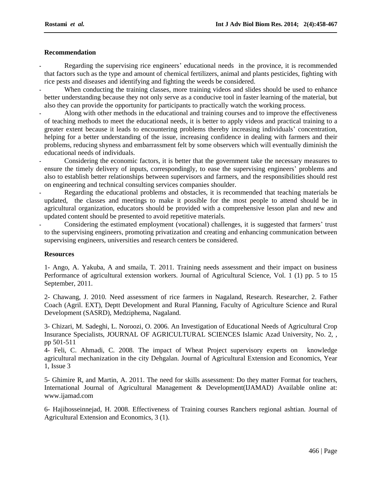## **Recommendation**

Regarding the supervising rice engineers' educational needs in the province, it is recommended that factors such as the type and amount of chemical fertilizers, animal and plants pesticides, fighting with rice pests and diseases and identifying and fighting the weeds be considered. -

- When conducting the training classes, more training videos and slides should be used to enhance better understanding because they not only serve as a conducive tool in faster learning of the material, but also they can provide the opportunity for participants to practically watch the working process. -
- Along with other methods in the educational and training courses and to improve the effectiveness of teaching methods to meet the educational needs, it is better to apply videos and practical training to a greater extent because it leads to encountering problems thereby increasing individuals' concentration, helping for a better understanding of the issue, increasing confidence in dealing with farmers and their problems, reducing shyness and embarrassment felt by some observers which will eventually diminish the educational needs of individuals.

 Considering the economic factors, it is better that the government take the necessary measures to ensure the timely delivery of inputs, correspondingly, to ease the supervising engineers' problems and also to establish better relationships between supervisors and farmers, and the responsibilities should rest on engineering and technical consulting services companies shoulder. -

 Regarding the educational problems and obstacles, it is recommended that teaching materials be updated, the classes and meetings to make it possible for the most people to attend should be in Agricultural organization, educators should be provided with a comprehensive lesson plan and new and updated content should be presented to avoid repetitive materials.<br>Considering the estimated employment (vocational) chal updated content should be presented to avoid repetitive materials. -

to the supervising engineers, promoting privatization and creating and enhancing communication between supervising engineers, universities and research centers be considered.

#### **Resources**

1- Ango, A. Yakuba, A and smaila, T. 2011. Training needs assessment and their impact on business Performance of agricultural extension workers. Journal of Agricultural Science, Vol. 1 (1) pp. 5 to 15 September, 2011.

2- Chawang, J. 2010. Need assessment of rice farmers in Nagaland, Research. Researcher, 2. Father Coach (Agril. EXT), Deptt Development and Rural Planning, Faculty of Agriculture Science and Rural Development (SASRD), Medziphema, Nagaland.

3- Chizari, M. Sadeghi, L. Noroozi, O. 2006. An Investigation of Educational Needs of Agricultural Crop Insurance Specialists, JOURNAL OF AGRICULTURAL SCIENCES Islamic Azad University, No. 2, , pp 501-511

4- Feli, C. Ahmadi, C. 2008. The impact of Wheat Project supervisory experts on knowledge agricultural mechanization in the city Dehgalan. Journal of Agricultural Extension and Economics, Year 1, Issue 3

5- Ghimire R, and Martin, A. 2011. The need for skills assessment: Do they matter Format for teachers, International Journal of Agricultural Management & Development(IJAMAD) Available online at: [www.ijamad.com](http://www.ijamad.com)

6- Hajihosseinnejad, H. 2008. Effectiveness of Training courses Ranchers regional ashtian. Journal of Agricultural Extension and Economics, 3 (1).